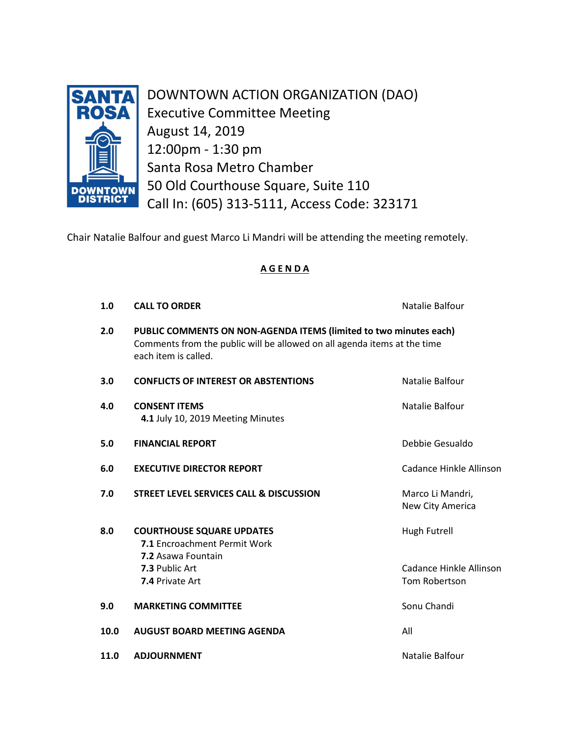

DOWNTOWN ACTION ORGANIZATION (DAO) Executive Committee Meeting August 14, 2019 12:00pm - 1:30 pm Santa Rosa Metro Chamber 50 Old Courthouse Square, Suite 110 Call In: (605) 313-5111, Access Code: 323171

Chair Natalie Balfour and guest Marco Li Mandri will be attending the meeting remotely.

## **A G E N D A**

| 1.0  | <b>CALL TO ORDER</b>                                                                                                                                                  | Natalie Balfour                                          |
|------|-----------------------------------------------------------------------------------------------------------------------------------------------------------------------|----------------------------------------------------------|
| 2.0  | PUBLIC COMMENTS ON NON-AGENDA ITEMS (limited to two minutes each)<br>Comments from the public will be allowed on all agenda items at the time<br>each item is called. |                                                          |
| 3.0  | <b>CONFLICTS OF INTEREST OR ABSTENTIONS</b>                                                                                                                           | Natalie Balfour                                          |
| 4.0  | <b>CONSENT ITEMS</b><br>4.1 July 10, 2019 Meeting Minutes                                                                                                             | Natalie Balfour                                          |
| 5.0  | <b>FINANCIAL REPORT</b>                                                                                                                                               | Debbie Gesualdo                                          |
| 6.0  | <b>EXECUTIVE DIRECTOR REPORT</b>                                                                                                                                      | Cadance Hinkle Allinson                                  |
| 7.0  | STREET LEVEL SERVICES CALL & DISCUSSION                                                                                                                               | Marco Li Mandri,<br>New City America                     |
| 8.0  | <b>COURTHOUSE SQUARE UPDATES</b><br>7.1 Encroachment Permit Work<br>7.2 Asawa Fountain<br>7.3 Public Art<br>7.4 Private Art                                           | Hugh Futrell<br>Cadance Hinkle Allinson<br>Tom Robertson |
| 9.0  | <b>MARKETING COMMITTEE</b>                                                                                                                                            | Sonu Chandi                                              |
| 10.0 | <b>AUGUST BOARD MEETING AGENDA</b>                                                                                                                                    | All                                                      |
| 11.0 | <b>ADJOURNMENT</b>                                                                                                                                                    | Natalie Balfour                                          |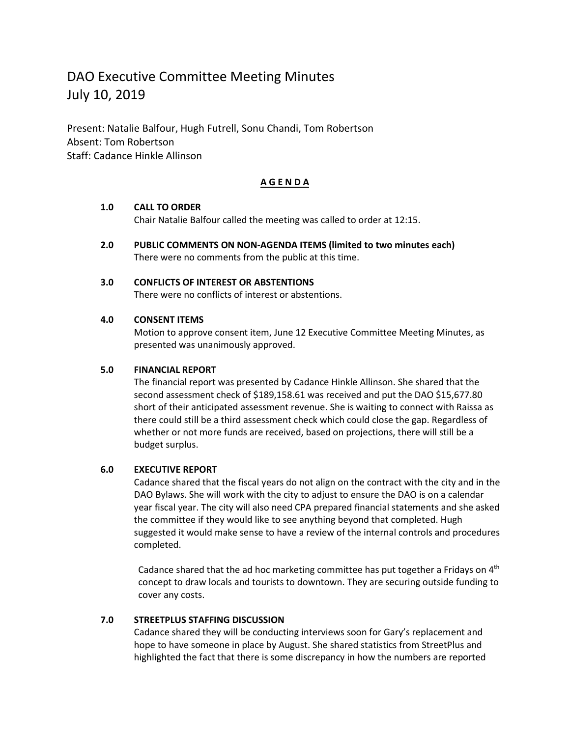# DAO Executive Committee Meeting Minutes July 10, 2019

Present: Natalie Balfour, Hugh Futrell, Sonu Chandi, Tom Robertson Absent: Tom Robertson Staff: Cadance Hinkle Allinson

## **A G E N D A**

## **1.0 CALL TO ORDER**

Chair Natalie Balfour called the meeting was called to order at 12:15.

**2.0 PUBLIC COMMENTS ON NON-AGENDA ITEMS (limited to two minutes each)** There were no comments from the public at this time.

## **3.0 CONFLICTS OF INTEREST OR ABSTENTIONS**

There were no conflicts of interest or abstentions.

## **4.0 CONSENT ITEMS**

Motion to approve consent item, June 12 Executive Committee Meeting Minutes, as presented was unanimously approved.

## **5.0 FINANCIAL REPORT**

The financial report was presented by Cadance Hinkle Allinson. She shared that the second assessment check of \$189,158.61 was received and put the DAO \$15,677.80 short of their anticipated assessment revenue. She is waiting to connect with Raissa as there could still be a third assessment check which could close the gap. Regardless of whether or not more funds are received, based on projections, there will still be a budget surplus.

## **6.0 EXECUTIVE REPORT**

Cadance shared that the fiscal years do not align on the contract with the city and in the DAO Bylaws. She will work with the city to adjust to ensure the DAO is on a calendar year fiscal year. The city will also need CPA prepared financial statements and she asked the committee if they would like to see anything beyond that completed. Hugh suggested it would make sense to have a review of the internal controls and procedures completed.

Cadance shared that the ad hoc marketing committee has put together a Fridays on  $4<sup>th</sup>$ concept to draw locals and tourists to downtown. They are securing outside funding to cover any costs.

## **7.0 STREETPLUS STAFFING DISCUSSION**

Cadance shared they will be conducting interviews soon for Gary's replacement and hope to have someone in place by August. She shared statistics from StreetPlus and highlighted the fact that there is some discrepancy in how the numbers are reported